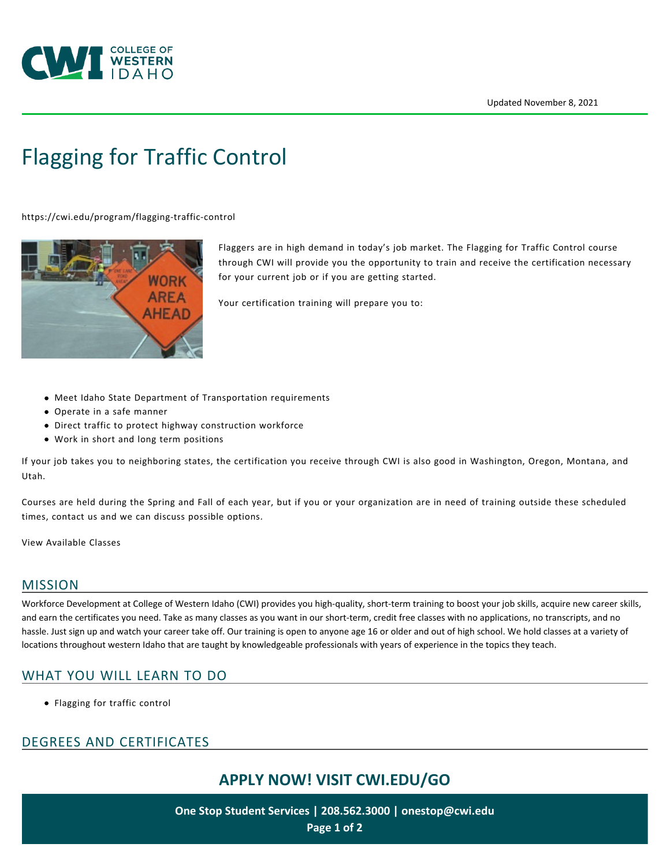

# [Flagging for Traffic Control](https://cwi.edu/program/flagging-traffic-control)

<https://cwi.edu/program/flagging-traffic-control>



Flaggers are in high demand in today's job market. The Flagging for Traffic Control course through CWI will provide you the opportunity to train and receive the certification necessary for your current job or if you are getting started.

Your certification training will prepare you to:

- Meet Idaho State Department of Transportation requirements
- Operate in a safe manner
- Direct traffic to protect highway construction workforce
- Work in short and long term positions

If your job takes you to neighboring states, the certification you receive through CWI is also good in Washington, Oregon, Montana, and Utah.

Courses are held during the Spring and Fall of each year, but if you or your organization are in need of training outside these scheduled times, contact us and we can discuss possible options.

[View Available Classes](https://cwi.augusoft.net/index.cfm?method=ClassListing.ClassListingDisplay&int_category_id=2&int_sub_category_id=2&int_catalog_id=)

#### MISSION

Workforce Development at College of Western Idaho (CWI) provides you high-quality, short-term training to boost your job skills, acquire new career skills, and earn the certificates you need. Take as many classes as you want in our short-term, credit free classes with no applications, no transcripts, and no hassle. Just sign up and watch your career take off. Our training is open to anyone age 16 or older and out of high school. We hold classes at a variety of locations throughout western Idaho that are taught by knowledgeable professionals with years of experience in the topics they teach.

#### WHAT YOU WILL LEARN TO DO

Flagging for traffic control

### DEGREES AND CERTIFICATES

# **APPLY NOW! VISIT [CWI.EDU/GO](http://cwi.edu/go)**

**One Stop Student Services | 208.562.3000 | [onestop@cwi.edu](mailto:onestop@cwi.edu) Page 1 of 2**